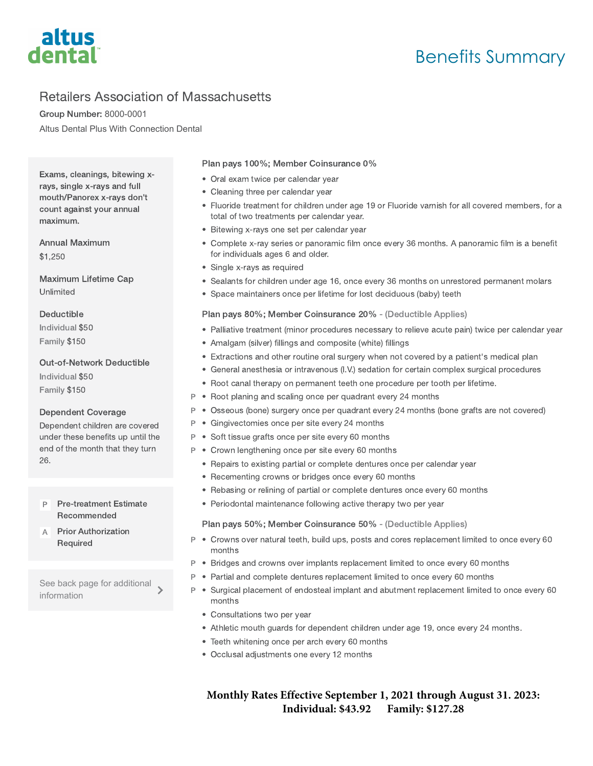

# Retailers Association of Massachusetts

Group Number: 8000-0001 Altus Dental Plus With Connection Dental

Exams, cleanings, bitewing xrays, single x-rays and full mouth/Panorex x-rays don't count against your annual maximum.

Annual Maximum \$1,250

Maximum Lifetime Cap Unlimited

# Deductible

Individual \$50 Family \$150

## Out-of-Network Deductible

Individual \$50 Family \$150

# Dependent Coverage

Dependent children are covered under these benefits up until the end of the month that they turn 26.

Pre-treatment Estimate Recommended P

Prior Authorization Required A

See back page for additional information

Plan pays 100%; Member Coinsurance 0%

- Oral exam twice per calendar year
- Cleaning three per calendar year
- Fluoride treatment for children under age 19 or Fluoride varnish for all covered members, for a total of two treatments per calendar year.
- Bitewing x-rays one set per calendar year
- Complete x-ray series or panoramic film once every 36 months. A panoramic film is a benefit for individuals ages 6 and older.
- Single x-rays as required
- Sealants for children under age 16, once every 36 months on unrestored permanent molars
- Space maintainers once per lifetime for lost deciduous (baby) teeth

# Plan pays 80%; Member Coinsurance 20% - (Deductible Applies)

- Palliative treatment (minor procedures necessary to relieve acute pain) twice per calendar year
- Amalgam (silver) fillings and composite (white) fillings
- Extractions and other routine oral surgery when not covered by a patient's medical plan
- General anesthesia or intravenous (I.V.) sedation for certain complex surgical procedures
- Root canal therapy on permanent teeth one procedure per tooth per lifetime.
- P Root planing and scaling once per quadrant every 24 months
- P Osseous (bone) surgery once per quadrant every 24 months (bone grafts are not covered)
- P Gingivectomies once per site every 24 months
- <sup>P</sup> Soft tissue grafts once per site every 60 months
- P Crown lengthening once per site every 60 months
	- Repairs to existing partial or complete dentures once per calendar year
	- Recementing crowns or bridges once every 60 months
	- Rebasing or relining of partial or complete dentures once every 60 months
	- Periodontal maintenance following active therapy two per year

#### Plan pays 50%; Member Coinsurance 50% - (Deductible Applies)

- P Crowns over natural teeth, build ups, posts and cores replacement limited to once every 60 months
- P Bridges and crowns over implants replacement limited to once every 60 months
- P Partial and complete dentures replacement limited to once every 60 months
- P Surgical placement of endosteal implant and abutment replacement limited to once every 60 months
	- Consultations two per year
	- Athletic mouth guards for dependent children under age 19, once every 24 months.
	- Teeth whitening once per arch every 60 months
	- Occlusal adjustments one every 12 months

**Monthly Rates Effective September 1, 2021 through August 31. 2023: Individual: \$43.92 Family: \$127.28**